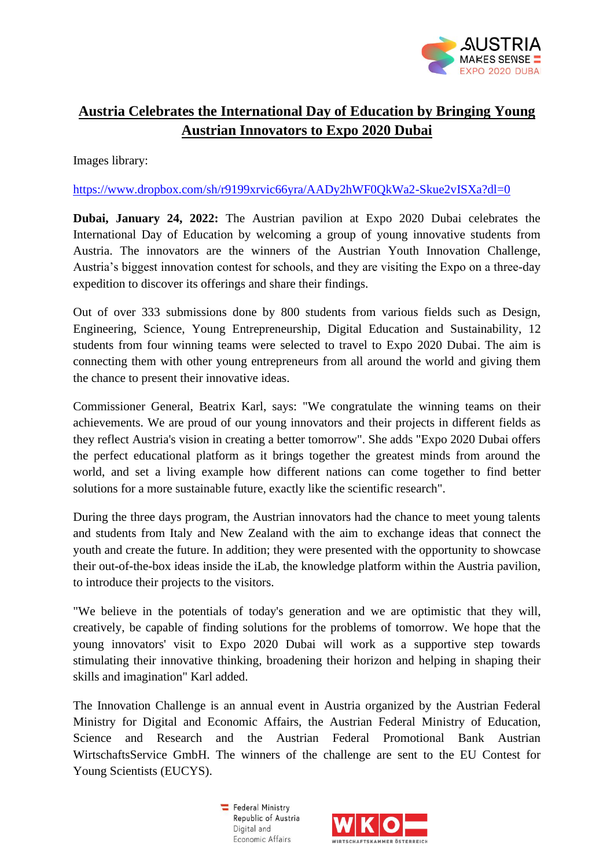

## **Austria Celebrates the International Day of Education by Bringing Young Austrian Innovators to Expo 2020 Dubai**

Images library:

<https://www.dropbox.com/sh/r9199xrvic66yra/AADy2hWF0QkWa2-Skue2vISXa?dl=0>

**Dubai, January 24, 2022:** The Austrian pavilion at Expo 2020 Dubai celebrates the International Day of Education by welcoming a group of young innovative students from Austria. The innovators are the winners of the Austrian Youth Innovation Challenge, Austria's biggest innovation contest for schools, and they are visiting the Expo on a three-day expedition to discover its offerings and share their findings.

Out of over 333 submissions done by 800 students from various fields such as Design, Engineering, Science, Young Entrepreneurship, Digital Education and Sustainability, 12 students from four winning teams were selected to travel to Expo 2020 Dubai. The aim is connecting them with other young entrepreneurs from all around the world and giving them the chance to present their innovative ideas.

Commissioner General, Beatrix Karl, says: "We congratulate the winning teams on their achievements. We are proud of our young innovators and their projects in different fields as they reflect Austria's vision in creating a better tomorrow". She adds "Expo 2020 Dubai offers the perfect educational platform as it brings together the greatest minds from around the world, and set a living example how different nations can come together to find better solutions for a more sustainable future, exactly like the scientific research".

During the three days program, the Austrian innovators had the chance to meet young talents and students from Italy and New Zealand with the aim to exchange ideas that connect the youth and create the future. In addition; they were presented with the opportunity to showcase their out-of-the-box ideas inside the iLab, the knowledge platform within the Austria pavilion, to introduce their projects to the visitors.

"We believe in the potentials of today's generation and we are optimistic that they will, creatively, be capable of finding solutions for the problems of tomorrow. We hope that the young innovators' visit to Expo 2020 Dubai will work as a supportive step towards stimulating their innovative thinking, broadening their horizon and helping in shaping their skills and imagination" Karl added.

The Innovation Challenge is an annual event in Austria organized by the Austrian Federal Ministry for Digital and Economic Affairs, the Austrian Federal Ministry of Education, Science and Research and the Austrian Federal Promotional Bank Austrian WirtschaftsService GmbH. The winners of the challenge are sent to the EU Contest for Young Scientists (EUCYS).